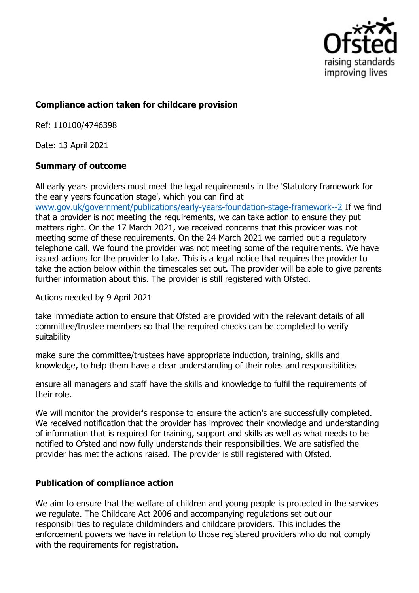

## **Compliance action taken for childcare provision**

Ref: 110100/4746398

Date: 13 April 2021

## **Summary of outcome**

All early years providers must meet the legal requirements in the 'Statutory framework for the early years foundation stage', which you can find at

www.gov.uk/government/publications/early-years-foundation-stage-framework--2 If we find that a provider is not meeting the requirements, we can take action to ensure they put matters right. On the 17 March 2021, we received concerns that this provider was not meeting some of these requirements. On the 24 March 2021 we carried out a regulatory telephone call. We found the provider was not meeting some of the requirements. We have issued actions for the provider to take. This is a legal notice that requires the provider to take the action below within the timescales set out. The provider will be able to give parents further information about this. The provider is still registered with Ofsted.

Actions needed by 9 April 2021

take immediate action to ensure that Ofsted are provided with the relevant details of all committee/trustee members so that the required checks can be completed to verify suitability

make sure the committee/trustees have appropriate induction, training, skills and knowledge, to help them have a clear understanding of their roles and responsibilities

ensure all managers and staff have the skills and knowledge to fulfil the requirements of their role.

We will monitor the provider's response to ensure the action's are successfully completed. We received notification that the provider has improved their knowledge and understanding of information that is required for training, support and skills as well as what needs to be notified to Ofsted and now fully understands their responsibilities. We are satisfied the provider has met the actions raised. The provider is still registered with Ofsted.

## **Publication of compliance action**

We aim to ensure that the welfare of children and young people is protected in the services we regulate. The Childcare Act 2006 and accompanying regulations set out our responsibilities to regulate childminders and childcare providers. This includes the enforcement powers we have in relation to those registered providers who do not comply with the requirements for registration.